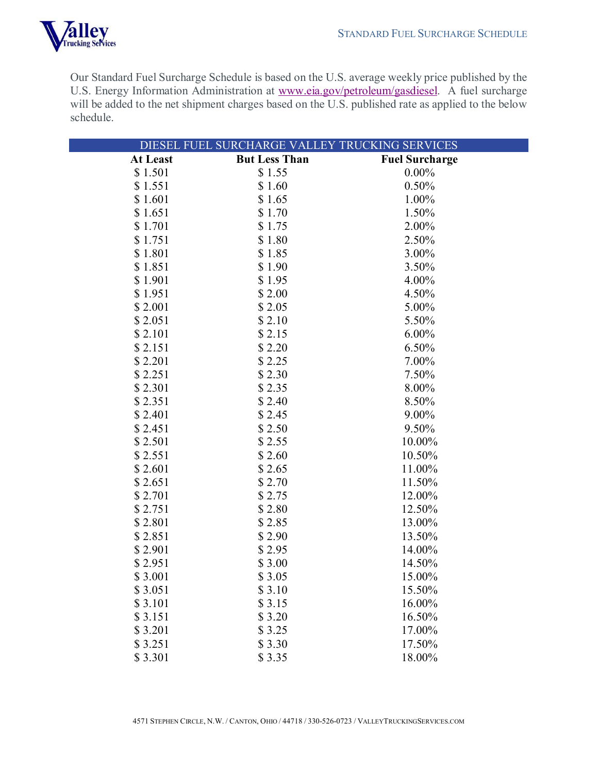

Our Standard Fuel Surcharge Schedule is based on the U.S. average weekly price published by the U.S. Energy Information Administration at www.eia.gov/petroleum/gasdiesel. A fuel surcharge will be added to the net shipment charges based on the U.S. published rate as applied to the below schedule.

|          | DIESEL FUEL SURCHARGE VALLEY TRUCKING SERVICES |                       |
|----------|------------------------------------------------|-----------------------|
| At Least | <b>But Less Than</b>                           | <b>Fuel Surcharge</b> |
| \$1.501  | \$1.55                                         | $0.00\%$              |
| \$1.551  | \$1.60                                         | 0.50%                 |
| \$1.601  | \$1.65                                         | 1.00%                 |
| \$1.651  | \$1.70                                         | 1.50%                 |
| \$1.701  | \$1.75                                         | 2.00%                 |
| \$1.751  | \$1.80                                         | 2.50%                 |
| \$1.801  | \$1.85                                         | 3.00%                 |
| \$1.851  | \$1.90                                         | 3.50%                 |
| \$1.901  | \$1.95                                         | 4.00%                 |
| \$1.951  | \$2.00                                         | 4.50%                 |
| \$2.001  | \$2.05                                         | 5.00%                 |
| \$2.051  | \$2.10                                         | 5.50%                 |
| \$2.101  | \$2.15                                         | $6.00\%$              |
| \$2.151  | \$2.20                                         | 6.50%                 |
| \$2.201  | \$2.25                                         | 7.00%                 |
| \$2.251  | \$2.30                                         | 7.50%                 |
| \$2.301  | \$2.35                                         | 8.00%                 |
| \$2.351  | \$2.40                                         | 8.50%                 |
| \$2.401  | \$2.45                                         | 9.00%                 |
| \$2.451  | \$2.50                                         | 9.50%                 |
| \$2.501  | \$2.55                                         | 10.00%                |
| \$2.551  | \$2.60                                         | 10.50%                |
| \$2.601  | \$2.65                                         | 11.00%                |
| \$2.651  | \$2.70                                         | 11.50%                |
| \$2.701  | \$2.75                                         | 12.00%                |
| \$2.751  | \$2.80                                         | 12.50%                |
| \$2.801  | \$2.85                                         | 13.00%                |
| \$2.851  | \$2.90                                         | 13.50%                |
| \$2.901  | \$2.95                                         | 14.00%                |
| \$2.951  | \$3.00                                         | 14.50%                |
| \$3.001  | \$3.05                                         | 15.00%                |
| \$3.051  | \$3.10                                         | 15.50%                |
| \$3.101  | \$3.15                                         | 16.00%                |
| \$3.151  | \$3.20                                         | 16.50%                |
| \$3.201  | \$3.25                                         | 17.00%                |
| \$3.251  | \$3.30                                         | 17.50%                |
| \$3.301  | \$3.35                                         | 18.00%                |